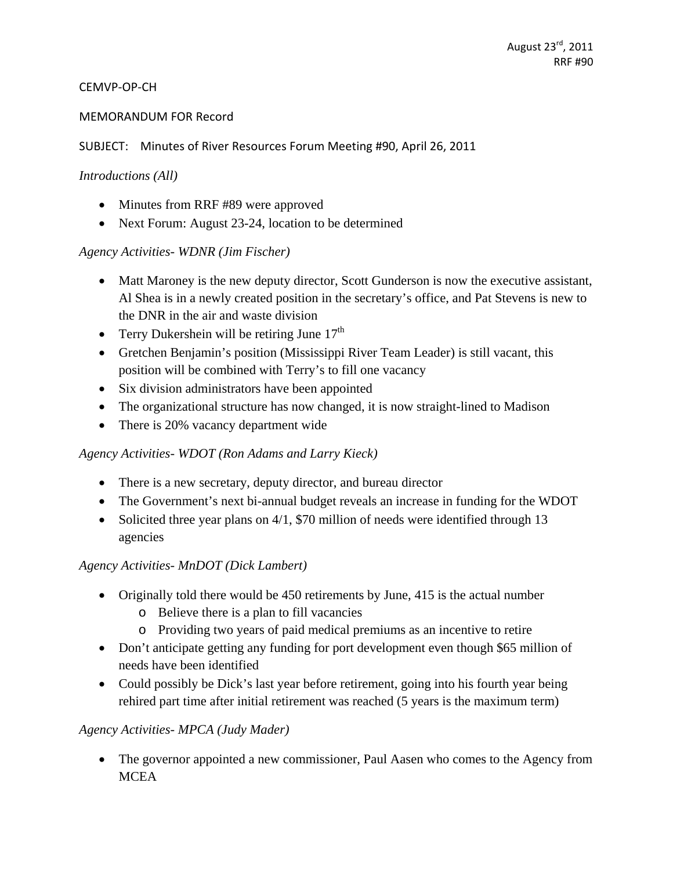#### CEMVP‐OP‐CH

#### MEMORANDUM FOR Record

#### SUBJECT: Minutes of River Resources Forum Meeting #90, April 26, 2011

#### *Introductions (All)*

- Minutes from RRF #89 were approved
- Next Forum: August 23-24, location to be determined

### *Agency Activities- WDNR (Jim Fischer)*

- Matt Maroney is the new deputy director, Scott Gunderson is now the executive assistant, Al Shea is in a newly created position in the secretary's office, and Pat Stevens is new to the DNR in the air and waste division
- Terry Dukershein will be retiring June  $17<sup>th</sup>$
- Gretchen Benjamin's position (Mississippi River Team Leader) is still vacant, this position will be combined with Terry's to fill one vacancy
- Six division administrators have been appointed
- The organizational structure has now changed, it is now straight-lined to Madison
- There is 20% vacancy department wide

### *Agency Activities- WDOT (Ron Adams and Larry Kieck)*

- There is a new secretary, deputy director, and bureau director
- The Government's next bi-annual budget reveals an increase in funding for the WDOT
- Solicited three year plans on 4/1, \$70 million of needs were identified through 13 agencies

### *Agency Activities- MnDOT (Dick Lambert)*

- Originally told there would be 450 retirements by June, 415 is the actual number
	- o Believe there is a plan to fill vacancies
	- o Providing two years of paid medical premiums as an incentive to retire
- Don't anticipate getting any funding for port development even though \$65 million of needs have been identified
- Could possibly be Dick's last year before retirement, going into his fourth year being rehired part time after initial retirement was reached (5 years is the maximum term)

### *Agency Activities- MPCA (Judy Mader)*

• The governor appointed a new commissioner, Paul Aasen who comes to the Agency from **MCEA**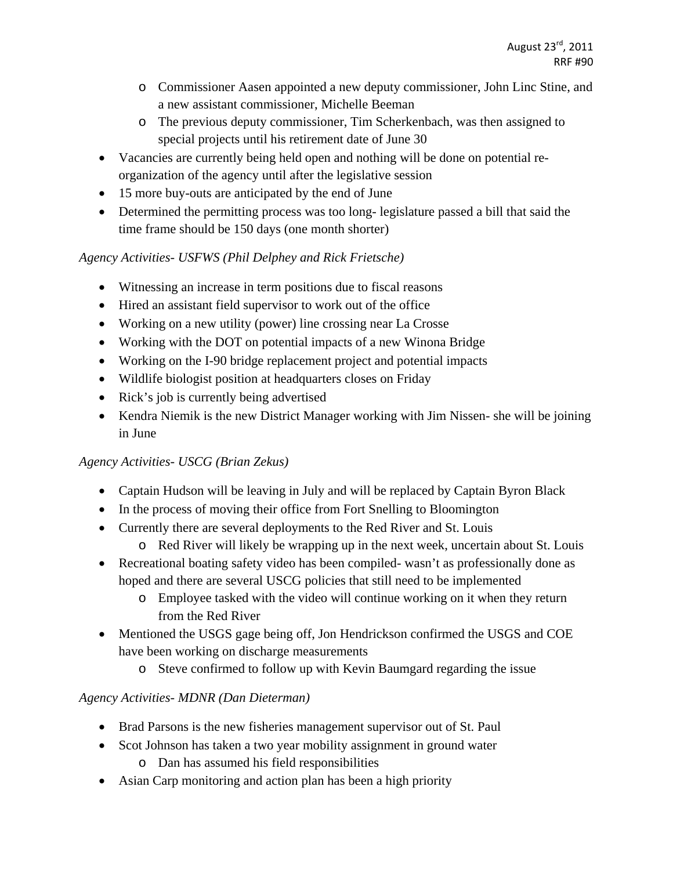- o Commissioner Aasen appointed a new deputy commissioner, John Linc Stine, and a new assistant commissioner, Michelle Beeman
- o The previous deputy commissioner, Tim Scherkenbach, was then assigned to special projects until his retirement date of June 30
- Vacancies are currently being held open and nothing will be done on potential reorganization of the agency until after the legislative session
- 15 more buy-outs are anticipated by the end of June
- Determined the permitting process was too long-legislature passed a bill that said the time frame should be 150 days (one month shorter)

# *Agency Activities- USFWS (Phil Delphey and Rick Frietsche)*

- Witnessing an increase in term positions due to fiscal reasons
- Hired an assistant field supervisor to work out of the office
- Working on a new utility (power) line crossing near La Crosse
- Working with the DOT on potential impacts of a new Winona Bridge
- Working on the I-90 bridge replacement project and potential impacts
- Wildlife biologist position at headquarters closes on Friday
- Rick's job is currently being advertised
- Kendra Niemik is the new District Manager working with Jim Nissen- she will be joining in June

# *Agency Activities- USCG (Brian Zekus)*

- Captain Hudson will be leaving in July and will be replaced by Captain Byron Black
- In the process of moving their office from Fort Snelling to Bloomington
- Currently there are several deployments to the Red River and St. Louis
	- o Red River will likely be wrapping up in the next week, uncertain about St. Louis
- Recreational boating safety video has been compiled- wasn't as professionally done as hoped and there are several USCG policies that still need to be implemented
	- o Employee tasked with the video will continue working on it when they return from the Red River
- Mentioned the USGS gage being off, Jon Hendrickson confirmed the USGS and COE have been working on discharge measurements
	- o Steve confirmed to follow up with Kevin Baumgard regarding the issue

# *Agency Activities- MDNR (Dan Dieterman)*

- Brad Parsons is the new fisheries management supervisor out of St. Paul
- Scot Johnson has taken a two year mobility assignment in ground water o Dan has assumed his field responsibilities
- Asian Carp monitoring and action plan has been a high priority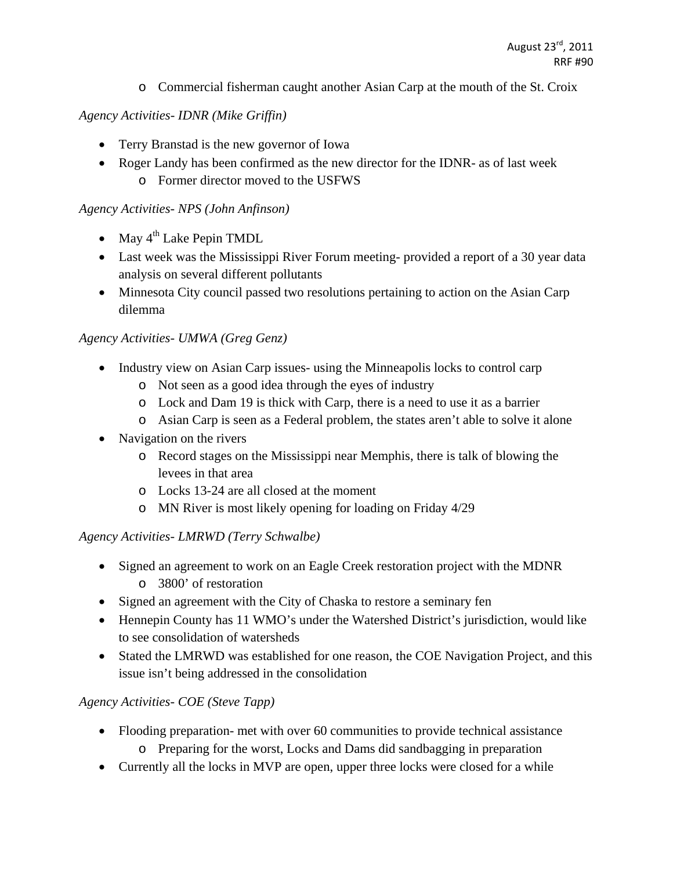o Commercial fisherman caught another Asian Carp at the mouth of the St. Croix

### *Agency Activities- IDNR (Mike Griffin)*

- Terry Branstad is the new governor of Iowa
- Roger Landy has been confirmed as the new director for the IDNR- as of last week o Former director moved to the USFWS

### *Agency Activities- NPS (John Anfinson)*

- May  $4^{th}$  Lake Pepin TMDL
- Last week was the Mississippi River Forum meeting- provided a report of a 30 year data analysis on several different pollutants
- Minnesota City council passed two resolutions pertaining to action on the Asian Carp dilemma

### *Agency Activities- UMWA (Greg Genz)*

- Industry view on Asian Carp issues- using the Minneapolis locks to control carp
	- o Not seen as a good idea through the eyes of industry
	- o Lock and Dam 19 is thick with Carp, there is a need to use it as a barrier
	- o Asian Carp is seen as a Federal problem, the states aren't able to solve it alone
- Navigation on the rivers
	- o Record stages on the Mississippi near Memphis, there is talk of blowing the levees in that area
	- o Locks 13-24 are all closed at the moment
	- o MN River is most likely opening for loading on Friday 4/29

### *Agency Activities- LMRWD (Terry Schwalbe)*

- Signed an agreement to work on an Eagle Creek restoration project with the MDNR o 3800' of restoration
- Signed an agreement with the City of Chaska to restore a seminary fen
- Hennepin County has 11 WMO's under the Watershed District's jurisdiction, would like to see consolidation of watersheds
- Stated the LMRWD was established for one reason, the COE Navigation Project, and this issue isn't being addressed in the consolidation

# *Agency Activities- COE (Steve Tapp)*

- Flooding preparation- met with over 60 communities to provide technical assistance
	- o Preparing for the worst, Locks and Dams did sandbagging in preparation
- Currently all the locks in MVP are open, upper three locks were closed for a while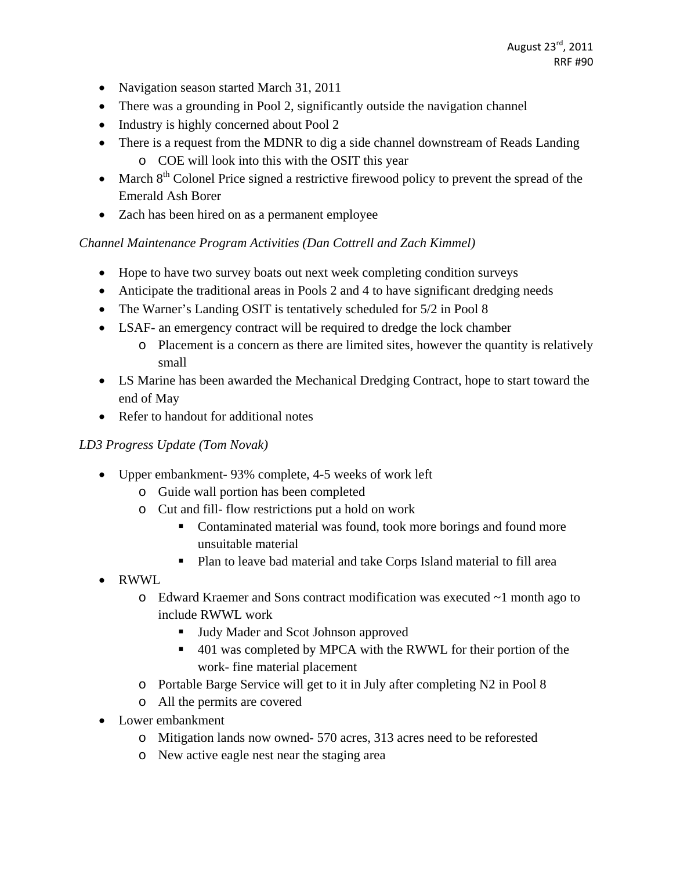- Navigation season started March 31, 2011
- There was a grounding in Pool 2, significantly outside the navigation channel
- Industry is highly concerned about Pool 2
- There is a request from the MDNR to dig a side channel downstream of Reads Landing o COE will look into this with the OSIT this year
- March  $8<sup>th</sup>$  Colonel Price signed a restrictive firewood policy to prevent the spread of the Emerald Ash Borer
- Zach has been hired on as a permanent employee

### *Channel Maintenance Program Activities (Dan Cottrell and Zach Kimmel)*

- Hope to have two survey boats out next week completing condition surveys
- Anticipate the traditional areas in Pools 2 and 4 to have significant dredging needs
- The Warner's Landing OSIT is tentatively scheduled for 5/2 in Pool 8
- LSAF- an emergency contract will be required to dredge the lock chamber
	- o Placement is a concern as there are limited sites, however the quantity is relatively small
- LS Marine has been awarded the Mechanical Dredging Contract, hope to start toward the end of May
- Refer to handout for additional notes

### *LD3 Progress Update (Tom Novak)*

- Upper embankment- 93% complete, 4-5 weeks of work left
	- o Guide wall portion has been completed
	- o Cut and fill- flow restrictions put a hold on work
		- Contaminated material was found, took more borings and found more unsuitable material
		- Plan to leave bad material and take Corps Island material to fill area
- RWWL
	- o Edward Kraemer and Sons contract modification was executed ~1 month ago to include RWWL work
		- Judy Mader and Scot Johnson approved
		- 401 was completed by MPCA with the RWWL for their portion of the work- fine material placement
	- o Portable Barge Service will get to it in July after completing N2 in Pool 8
	- o All the permits are covered
- Lower embankment
	- o Mitigation lands now owned- 570 acres, 313 acres need to be reforested
	- o New active eagle nest near the staging area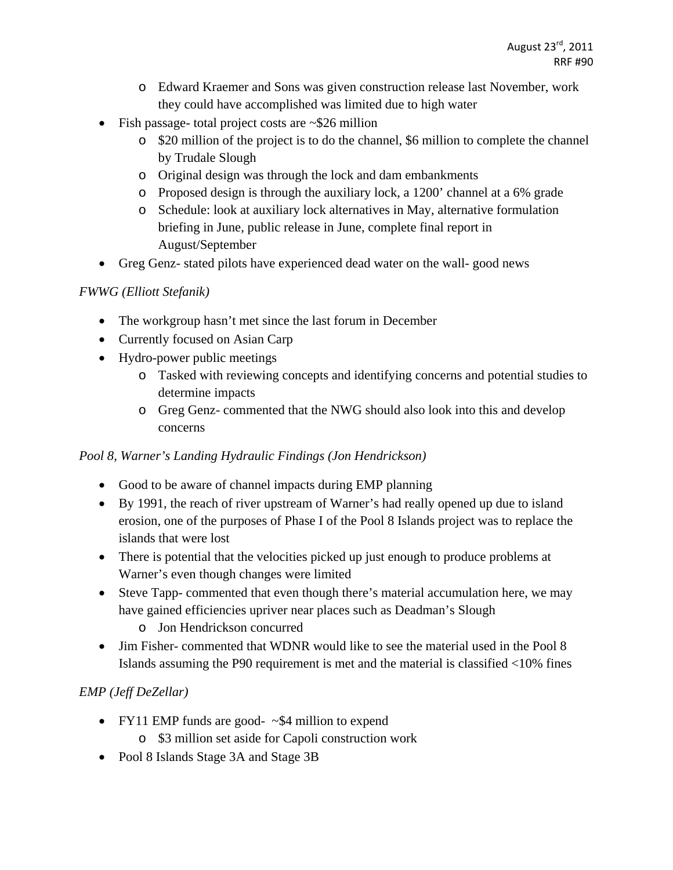- o Edward Kraemer and Sons was given construction release last November, work they could have accomplished was limited due to high water
- Fish passage- total project costs are  $\sim$ \$26 million
	- o \$20 million of the project is to do the channel, \$6 million to complete the channel by Trudale Slough
	- o Original design was through the lock and dam embankments
	- o Proposed design is through the auxiliary lock, a 1200' channel at a 6% grade
	- o Schedule: look at auxiliary lock alternatives in May, alternative formulation briefing in June, public release in June, complete final report in August/September
- Greg Genz- stated pilots have experienced dead water on the wall- good news

### *FWWG (Elliott Stefanik)*

- The workgroup hasn't met since the last forum in December
- Currently focused on Asian Carp
- Hydro-power public meetings
	- o Tasked with reviewing concepts and identifying concerns and potential studies to determine impacts
	- o Greg Genz- commented that the NWG should also look into this and develop concerns

### *Pool 8, Warner's Landing Hydraulic Findings (Jon Hendrickson)*

- Good to be aware of channel impacts during EMP planning
- By 1991, the reach of river upstream of Warner's had really opened up due to island erosion, one of the purposes of Phase I of the Pool 8 Islands project was to replace the islands that were lost
- There is potential that the velocities picked up just enough to produce problems at Warner's even though changes were limited
- Steve Tapp- commented that even though there's material accumulation here, we may have gained efficiencies upriver near places such as Deadman's Slough
	- o Jon Hendrickson concurred
- Jim Fisher- commented that WDNR would like to see the material used in the Pool 8 Islands assuming the P90 requirement is met and the material is classified <10% fines

# *EMP (Jeff DeZellar)*

- FY11 EMP funds are good-  $\sim$ \$4 million to expend
	- o \$3 million set aside for Capoli construction work
- Pool 8 Islands Stage 3A and Stage 3B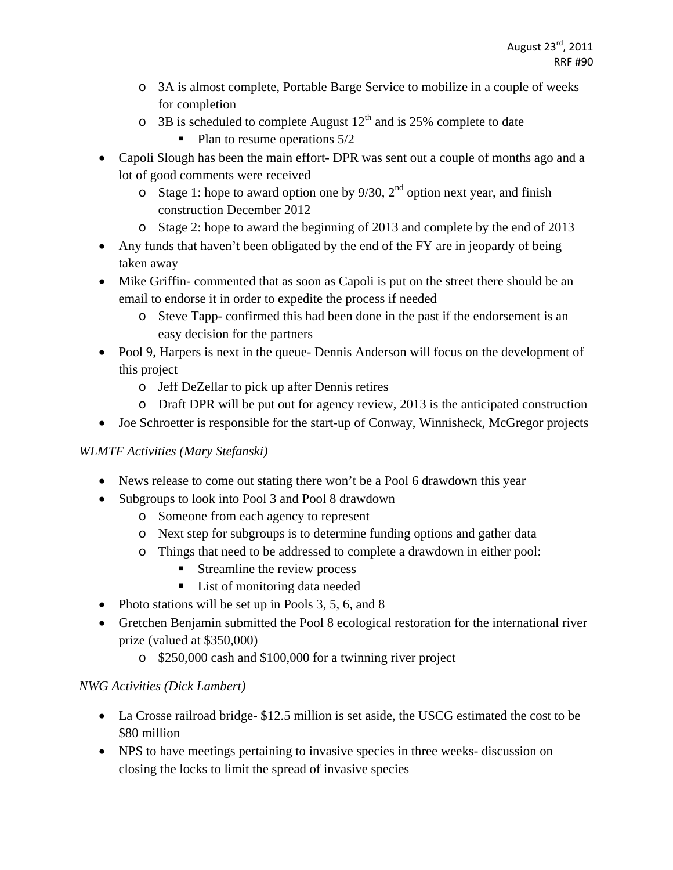- o 3A is almost complete, Portable Barge Service to mobilize in a couple of weeks for completion
- $\circ$  3B is scheduled to complete August 12<sup>th</sup> and is 25% complete to date
	- $\blacksquare$  Plan to resume operations  $5/2$
- Capoli Slough has been the main effort- DPR was sent out a couple of months ago and a lot of good comments were received
	- $\circ$  Stage 1: hope to award option one by 9/30, 2<sup>nd</sup> option next year, and finish construction December 2012
	- o Stage 2: hope to award the beginning of 2013 and complete by the end of 2013
- Any funds that haven't been obligated by the end of the FY are in jeopardy of being taken away
- Mike Griffin- commented that as soon as Capoli is put on the street there should be an email to endorse it in order to expedite the process if needed
	- o Steve Tapp- confirmed this had been done in the past if the endorsement is an easy decision for the partners
- Pool 9, Harpers is next in the queue- Dennis Anderson will focus on the development of this project
	- o Jeff DeZellar to pick up after Dennis retires
	- o Draft DPR will be put out for agency review, 2013 is the anticipated construction
- Joe Schroetter is responsible for the start-up of Conway, Winnisheck, McGregor projects

# *WLMTF Activities (Mary Stefanski)*

- News release to come out stating there won't be a Pool 6 drawdown this year
- Subgroups to look into Pool 3 and Pool 8 drawdown
	- o Someone from each agency to represent
	- o Next step for subgroups is to determine funding options and gather data
	- o Things that need to be addressed to complete a drawdown in either pool:
		- **Streamline the review process**
		- List of monitoring data needed
- Photo stations will be set up in Pools 3, 5, 6, and 8
- Gretchen Benjamin submitted the Pool 8 ecological restoration for the international river prize (valued at \$350,000)
	- o \$250,000 cash and \$100,000 for a twinning river project

# *NWG Activities (Dick Lambert)*

- La Crosse railroad bridge- \$12.5 million is set aside, the USCG estimated the cost to be \$80 million
- NPS to have meetings pertaining to invasive species in three weeks- discussion on closing the locks to limit the spread of invasive species